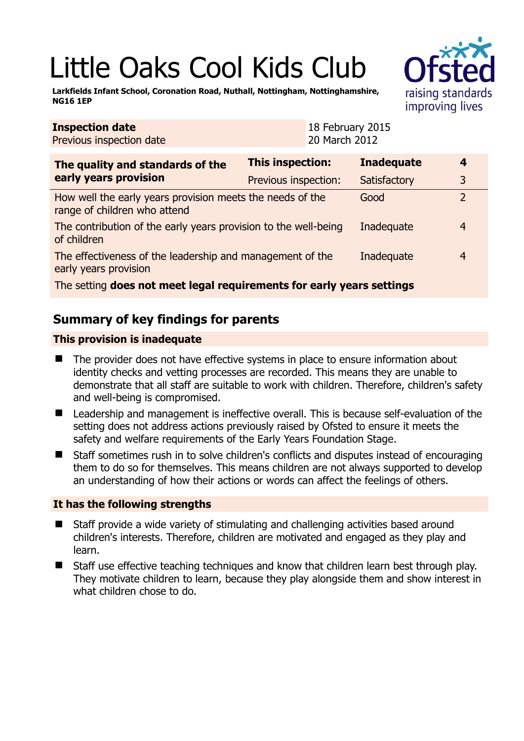# Little Oaks Cool Kids Club

**Larkfields Infant School, Coronation Road, Nuthall, Nottingham, Nottinghamshire, NG16 1EP** 

| <b>Inspection date</b><br>Previous inspection date                                        | 18 February 2015<br>20 March 2012 |                   |                |  |
|-------------------------------------------------------------------------------------------|-----------------------------------|-------------------|----------------|--|
| The quality and standards of the<br>early years provision                                 | This inspection:                  | <b>Inadequate</b> | 4              |  |
|                                                                                           | Previous inspection:              | Satisfactory      | 3              |  |
| How well the early years provision meets the needs of the<br>range of children who attend |                                   | Good              | $\overline{2}$ |  |
| The contribution of the early years provision to the well-being<br>of children            |                                   | Inadequate        | 4              |  |
| The effectiveness of the leadership and management of the<br>early years provision        |                                   | Inadequate        | 4              |  |
| The setting does not meet legal requirements for early years settings                     |                                   |                   |                |  |

# **Summary of key findings for parents**

## **This provision is inadequate**

- The provider does not have effective systems in place to ensure information about identity checks and vetting processes are recorded. This means they are unable to demonstrate that all staff are suitable to work with children. Therefore, children's safety and well-being is compromised.
- Leadership and management is ineffective overall. This is because self-evaluation of the setting does not address actions previously raised by Ofsted to ensure it meets the safety and welfare requirements of the Early Years Foundation Stage.
- Staff sometimes rush in to solve children's conflicts and disputes instead of encouraging them to do so for themselves. This means children are not always supported to develop an understanding of how their actions or words can affect the feelings of others.

## **It has the following strengths**

- Staff provide a wide variety of stimulating and challenging activities based around children's interests. Therefore, children are motivated and engaged as they play and learn.
- Staff use effective teaching techniques and know that children learn best through play. They motivate children to learn, because they play alongside them and show interest in what children chose to do.

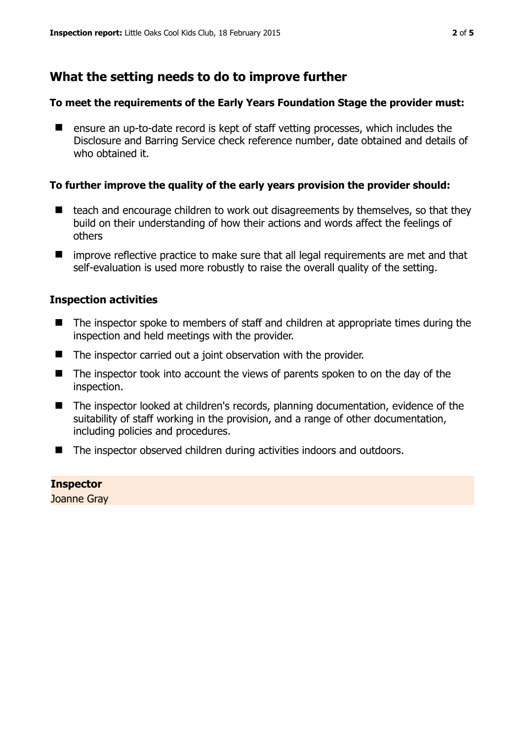## **What the setting needs to do to improve further**

#### **To meet the requirements of the Early Years Foundation Stage the provider must:**

■ ensure an up-to-date record is kept of staff vetting processes, which includes the Disclosure and Barring Service check reference number, date obtained and details of who obtained it.

#### **To further improve the quality of the early years provision the provider should:**

- teach and encourage children to work out disagreements by themselves, so that they build on their understanding of how their actions and words affect the feelings of others
- $\blacksquare$  improve reflective practice to make sure that all legal requirements are met and that self-evaluation is used more robustly to raise the overall quality of the setting.

#### **Inspection activities**

- The inspector spoke to members of staff and children at appropriate times during the inspection and held meetings with the provider.
- The inspector carried out a joint observation with the provider.
- The inspector took into account the views of parents spoken to on the day of the inspection.
- The inspector looked at children's records, planning documentation, evidence of the suitability of staff working in the provision, and a range of other documentation, including policies and procedures.
- The inspector observed children during activities indoors and outdoors.

**Inspector**  Joanne Gray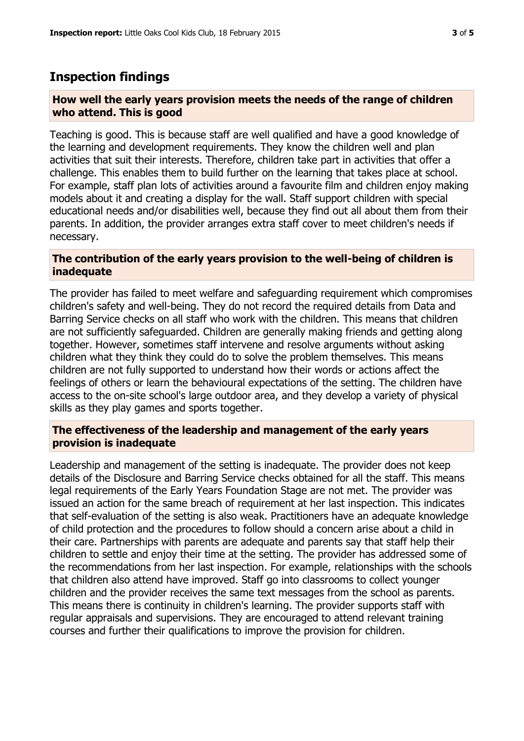## **Inspection findings**

#### **How well the early years provision meets the needs of the range of children who attend. This is good**

Teaching is good. This is because staff are well qualified and have a good knowledge of the learning and development requirements. They know the children well and plan activities that suit their interests. Therefore, children take part in activities that offer a challenge. This enables them to build further on the learning that takes place at school. For example, staff plan lots of activities around a favourite film and children enjoy making models about it and creating a display for the wall. Staff support children with special educational needs and/or disabilities well, because they find out all about them from their parents. In addition, the provider arranges extra staff cover to meet children's needs if necessary.

#### **The contribution of the early years provision to the well-being of children is inadequate**

The provider has failed to meet welfare and safeguarding requirement which compromises children's safety and well-being. They do not record the required details from Data and Barring Service checks on all staff who work with the children. This means that children are not sufficiently safeguarded. Children are generally making friends and getting along together. However, sometimes staff intervene and resolve arguments without asking children what they think they could do to solve the problem themselves. This means children are not fully supported to understand how their words or actions affect the feelings of others or learn the behavioural expectations of the setting. The children have access to the on-site school's large outdoor area, and they develop a variety of physical skills as they play games and sports together.

#### **The effectiveness of the leadership and management of the early years provision is inadequate**

Leadership and management of the setting is inadequate. The provider does not keep details of the Disclosure and Barring Service checks obtained for all the staff. This means legal requirements of the Early Years Foundation Stage are not met. The provider was issued an action for the same breach of requirement at her last inspection. This indicates that self-evaluation of the setting is also weak. Practitioners have an adequate knowledge of child protection and the procedures to follow should a concern arise about a child in their care. Partnerships with parents are adequate and parents say that staff help their children to settle and enjoy their time at the setting. The provider has addressed some of the recommendations from her last inspection. For example, relationships with the schools that children also attend have improved. Staff go into classrooms to collect younger children and the provider receives the same text messages from the school as parents. This means there is continuity in children's learning. The provider supports staff with regular appraisals and supervisions. They are encouraged to attend relevant training courses and further their qualifications to improve the provision for children.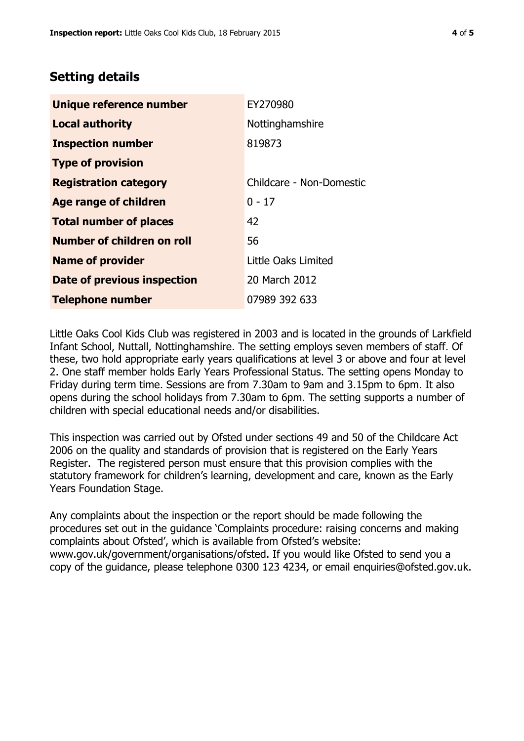# **Setting details**

| Unique reference number       | EY270980                 |  |
|-------------------------------|--------------------------|--|
| <b>Local authority</b>        | Nottinghamshire          |  |
| <b>Inspection number</b>      | 819873                   |  |
| <b>Type of provision</b>      |                          |  |
| <b>Registration category</b>  | Childcare - Non-Domestic |  |
| <b>Age range of children</b>  | $0 - 17$                 |  |
| <b>Total number of places</b> | 42                       |  |
| Number of children on roll    | 56                       |  |
| <b>Name of provider</b>       | Little Oaks Limited      |  |
| Date of previous inspection   | 20 March 2012            |  |
| <b>Telephone number</b>       | 07989 392 633            |  |

Little Oaks Cool Kids Club was registered in 2003 and is located in the grounds of Larkfield Infant School, Nuttall, Nottinghamshire. The setting employs seven members of staff. Of these, two hold appropriate early years qualifications at level 3 or above and four at level 2. One staff member holds Early Years Professional Status. The setting opens Monday to Friday during term time. Sessions are from 7.30am to 9am and 3.15pm to 6pm. It also opens during the school holidays from 7.30am to 6pm. The setting supports a number of children with special educational needs and/or disabilities.

This inspection was carried out by Ofsted under sections 49 and 50 of the Childcare Act 2006 on the quality and standards of provision that is registered on the Early Years Register. The registered person must ensure that this provision complies with the statutory framework for children's learning, development and care, known as the Early Years Foundation Stage.

Any complaints about the inspection or the report should be made following the procedures set out in the guidance 'Complaints procedure: raising concerns and making complaints about Ofsted', which is available from Ofsted's website: www.gov.uk/government/organisations/ofsted. If you would like Ofsted to send you a copy of the guidance, please telephone 0300 123 4234, or email enquiries@ofsted.gov.uk.